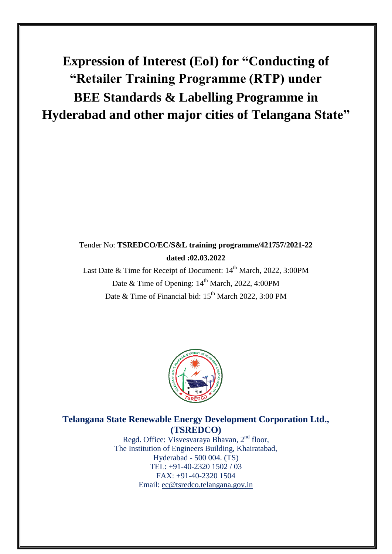# **Expression of Interest (EoI) for "Conducting of "Retailer Training Programme (RTP) under BEE Standards & Labelling Programme in Hyderabad and other major cities of Telangana State"**

Tender No: **TSREDCO/EC/S&L training programme/421757/2021-22 dated :02.03.2022**

## Tender No: **TSREDCO/EC/S&L training programme/421757/2021-22 dated :02.03.2022**

Last Date & Time for Receipt of Document: 14<sup>th</sup> March, 2022, 3:00PM Date & Time of Opening: 14<sup>th</sup> March, 2022, 4:00PM Date & Time of Financial bid: 15<sup>th</sup> March 2022, 3:00 PM



## **Telangana State Renewable Energy Development Corporation Ltd., (TSREDCO)**

Regd. Office: Visvesvaraya Bhavan, 2<sup>nd</sup> floor, The Institution of Engineers Building, Khairatabad, Hyderabad - 500 004. (TS) TEL: +91-40-2320 1502 / 03 FAX: +91-40-2320 1504 Email: [ec@tsredco.telangana.gov.in](mailto:ec@tsredco.telangana.gov.in)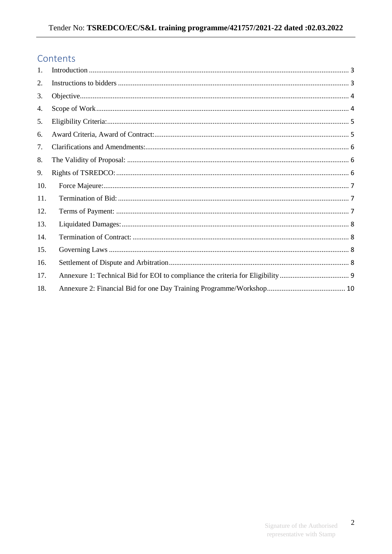## Contents

| 1.  |  |
|-----|--|
| 2.  |  |
| 3.  |  |
| 4.  |  |
| 5.  |  |
| 6.  |  |
| 7.  |  |
| 8.  |  |
| 9.  |  |
| 10. |  |
| 11. |  |
| 12. |  |
| 13. |  |
| 14. |  |
| 15. |  |
| 16. |  |
| 17. |  |
| 18. |  |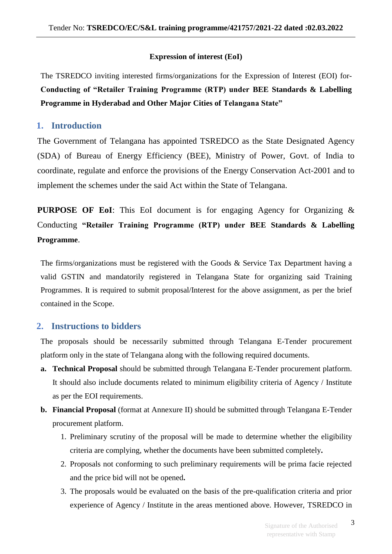#### **Expression of interest (EoI)**

The TSREDCO inviting interested firms/organizations for the Expression of Interest (EOI) for-**Conducting of "Retailer Training Programme (RTP) under BEE Standards & Labelling Programme in Hyderabad and Other Major Cities of Telangana State"** 

#### <span id="page-2-0"></span>**1. Introduction**

The Government of Telangana has appointed TSREDCO as the State Designated Agency (SDA) of Bureau of Energy Efficiency (BEE), Ministry of Power, Govt. of India to coordinate, regulate and enforce the provisions of the Energy Conservation Act-2001 and to implement the schemes under the said Act within the State of Telangana.

**PURPOSE OF EoI**: This EoI document is for engaging Agency for Organizing & Conducting **"Retailer Training Programme (RTP) under BEE Standards & Labelling Programme**.

The firms/organizations must be registered with the Goods  $\&$  Service Tax Department having a valid GSTIN and mandatorily registered in Telangana State for organizing said Training Programmes. It is required to submit proposal/Interest for the above assignment, as per the brief contained in the Scope.

## <span id="page-2-1"></span>**2. Instructions to bidders**

The proposals should be necessarily submitted through Telangana E-Tender procurement platform only in the state of Telangana along with the following required documents.

- **a. Technical Proposal** should be submitted through Telangana E-Tender procurement platform. It should also include documents related to minimum eligibility criteria of Agency / Institute as per the EOI requirements.
- **b. Financial Proposal** (format at Annexure II) should be submitted through Telangana E-Tender procurement platform.
	- 1. Preliminary scrutiny of the proposal will be made to determine whether the eligibility criteria are complying, whether the documents have been submitted completely**.**
	- 2. Proposals not conforming to such preliminary requirements will be prima facie rejected and the price bid will not be opened**.**
	- 3. The proposals would be evaluated on the basis of the pre-qualification criteria and prior experience of Agency / Institute in the areas mentioned above. However, TSREDCO in

3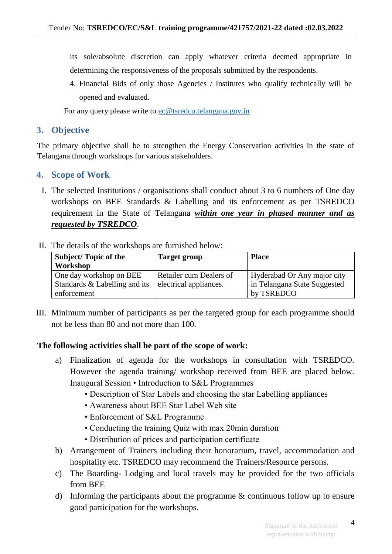its sole/absolute discretion can apply whatever criteria deemed appropriate in determining the responsiveness of the proposals submitted by the respondents.

4. Financial Bids of only those Agencies / Institutes who qualify technically will be opened and evaluated.

For any query please write to [ec@tsredco.telangana.gov.in](mailto:ec@tsredco.telangana.gov.in)

## <span id="page-3-0"></span>**3. Objective**

The primary objective shall be to strengthen the Energy Conservation activities in the state of Telangana through workshops for various stakeholders.

## <span id="page-3-1"></span>**4. Scope of Work**

- I. The selected Institutions / organisations shall conduct about 3 to 6 numbers of One day workshops on BEE Standards & Labelling and its enforcement as per TSREDCO requirement in the State of Telangana *within one year in phased manner and as requested by TSREDCO*.
- II. The details of the workshops are furnished below:

| <b>Subject/Topic of the</b>   | <b>Target group</b>     | <b>Place</b>                 |  |
|-------------------------------|-------------------------|------------------------------|--|
| Workshop                      |                         |                              |  |
| One day workshop on BEE       | Retailer cum Dealers of | Hyderabad Or Any major city  |  |
| Standards & Labelling and its | electrical appliances.  | in Telangana State Suggested |  |
| enforcement                   |                         | by TSREDCO                   |  |

III. Minimum number of participants as per the targeted group for each programme should not be less than 80 and not more than 100.

#### **The following activities shall be part of the scope of work:**

- a) Finalization of agenda for the workshops in consultation with TSREDCO. However the agenda training/ workshop received from BEE are placed below. Inaugural Session • Introduction to S&L Programmes
	- Description of Star Labels and choosing the star Labelling appliances
	- Awareness about BEE Star Label Web site
	- Enforcement of S&L Programme
	- Conducting the training Quiz with max 20min duration
	- Distribution of prices and participation certificate
- b) Arrangement of Trainers including their honorarium, travel, accommodation and hospitality etc. TSREDCO may recommend the Trainers/Resource persons.
- c) The Boarding- Lodging and local travels may be provided for the two officials from BEE
- d) Informing the participants about the programme & continuous follow up to ensure good participation for the workshops.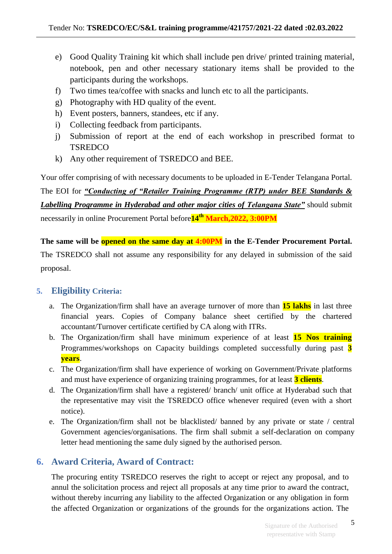- e) Good Quality Training kit which shall include pen drive/ printed training material, notebook, pen and other necessary stationary items shall be provided to the participants during the workshops.
- f) Two times tea/coffee with snacks and lunch etc to all the participants.
- g) Photography with HD quality of the event.
- h) Event posters, banners, standees, etc if any.
- i) Collecting feedback from participants.
- j) Submission of report at the end of each workshop in prescribed format to **TSREDCO**
- k) Any other requirement of TSREDCO and BEE.

Your offer comprising of with necessary documents to be uploaded in E-Tender Telangana Portal.

The EOI for *"Conducting of "Retailer Training Programme (RTP) under BEE Standards & Labelling Programme in Hyderabad and other major cities of Telangana State"* should submit necessarily in online Procurement Portal before**14 th March,2022, 3:00PM**

**The same will be opened on the same day at 4:00PM in the E-Tender Procurement Portal.**  The TSREDCO shall not assume any responsibility for any delayed in submission of the said proposal.

## <span id="page-4-0"></span>**5. Eligibility Criteria:**

- a. The Organization/firm shall have an average turnover of more than **15 lakhs** in last three financial years. Copies of Company balance sheet certified by the chartered accountant/Turnover certificate certified by CA along with ITRs.
- b. The Organization/firm shall have minimum experience of at least **15 Nos training** Programmes/workshops on Capacity buildings completed successfully during past **3 years**.
- c. The Organization/firm shall have experience of working on Government/Private platforms and must have experience of organizing training programmes, for at least **3 clients**.
- d. The Organization/firm shall have a registered/ branch/ unit office at Hyderabad such that the representative may visit the TSREDCO office whenever required (even with a short notice).
- e. The Organization/firm shall not be blacklisted/ banned by any private or state / central Government agencies/organisations. The firm shall submit a self-declaration on company letter head mentioning the same duly signed by the authorised person.

## <span id="page-4-1"></span>**6. Award Criteria, Award of Contract:**

The procuring entity TSREDCO reserves the right to accept or reject any proposal, and to annul the solicitation process and reject all proposals at any time prior to award the contract, without thereby incurring any liability to the affected Organization or any obligation in form the affected Organization or organizations of the grounds for the organizations action. The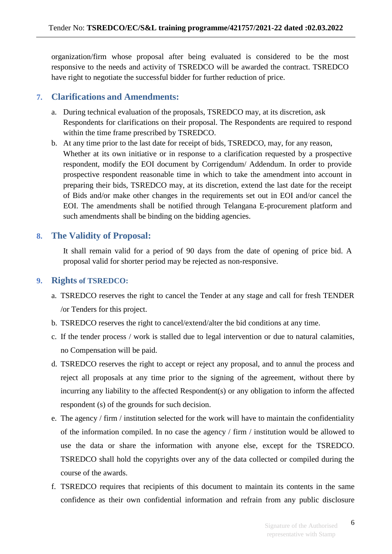organization/firm whose proposal after being evaluated is considered to be the most responsive to the needs and activity of TSREDCO will be awarded the contract. TSREDCO have right to negotiate the successful bidder for further reduction of price.

## <span id="page-5-0"></span>**7. Clarifications and Amendments:**

- a. During technical evaluation of the proposals, TSREDCO may, at its discretion, ask Respondents for clarifications on their proposal. The Respondents are required to respond within the time frame prescribed by TSREDCO.
- b. At any time prior to the last date for receipt of bids, TSREDCO, may, for any reason, Whether at its own initiative or in response to a clarification requested by a prospective respondent, modify the EOI document by Corrigendum/ Addendum. In order to provide prospective respondent reasonable time in which to take the amendment into account in preparing their bids, TSREDCO may, at its discretion, extend the last date for the receipt of Bids and/or make other changes in the requirements set out in EOI and/or cancel the EOI. The amendments shall be notified through Telangana E-procurement platform and such amendments shall be binding on the bidding agencies.

## <span id="page-5-1"></span>**8. The Validity of Proposal:**

It shall remain valid for a period of 90 days from the date of opening of price bid. A proposal valid for shorter period may be rejected as non-responsive.

## <span id="page-5-2"></span>**9. Rights of TSREDCO:**

- a. TSREDCO reserves the right to cancel the Tender at any stage and call for fresh TENDER /or Tenders for this project.
- b. TSREDCO reserves the right to cancel/extend/alter the bid conditions at any time.
- c. If the tender process / work is stalled due to legal intervention or due to natural calamities, no Compensation will be paid.
- d. TSREDCO reserves the right to accept or reject any proposal, and to annul the process and reject all proposals at any time prior to the signing of the agreement, without there by incurring any liability to the affected Respondent(s) or any obligation to inform the affected respondent (s) of the grounds for such decision.
- e. The agency / firm / institution selected for the work will have to maintain the confidentiality of the information compiled. In no case the agency / firm / institution would be allowed to use the data or share the information with anyone else, except for the TSREDCO. TSREDCO shall hold the copyrights over any of the data collected or compiled during the course of the awards.
- f. TSREDCO requires that recipients of this document to maintain its contents in the same confidence as their own confidential information and refrain from any public disclosure

6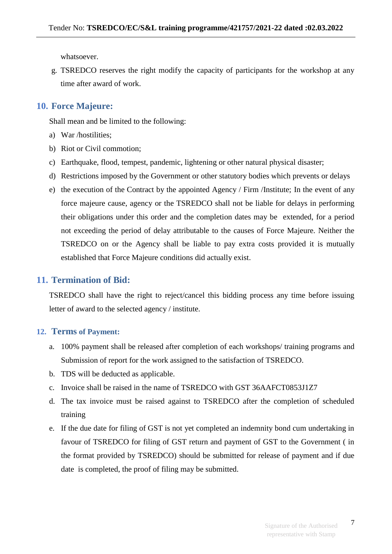whatsoever.

g. TSREDCO reserves the right modify the capacity of participants for the workshop at any time after award of work.

## <span id="page-6-0"></span>**10. Force Majeure:**

Shall mean and be limited to the following:

- a) War /hostilities;
- b) Riot or Civil commotion;
- c) Earthquake, flood, tempest, pandemic, lightening or other natural physical disaster;
- d) Restrictions imposed by the Government or other statutory bodies which prevents or delays
- e) the execution of the Contract by the appointed Agency / Firm /Institute; In the event of any force majeure cause, agency or the TSREDCO shall not be liable for delays in performing their obligations under this order and the completion dates may be extended, for a period not exceeding the period of delay attributable to the causes of Force Majeure. Neither the TSREDCO on or the Agency shall be liable to pay extra costs provided it is mutually established that Force Majeure conditions did actually exist.

## <span id="page-6-1"></span>**11. Termination of Bid:**

TSREDCO shall have the right to reject/cancel this bidding process any time before issuing letter of award to the selected agency / institute.

#### <span id="page-6-2"></span>**12. Terms of Payment:**

- a. 100% payment shall be released after completion of each workshops/ training programs and Submission of report for the work assigned to the satisfaction of TSREDCO.
- b. TDS will be deducted as applicable.
- c. Invoice shall be raised in the name of TSREDCO with GST 36AAFCT0853J1Z7
- d. The tax invoice must be raised against to TSREDCO after the completion of scheduled training
- e. If the due date for filing of GST is not yet completed an indemnity bond cum undertaking in favour of TSREDCO for filing of GST return and payment of GST to the Government ( in the format provided by TSREDCO) should be submitted for release of payment and if due date is completed, the proof of filing may be submitted.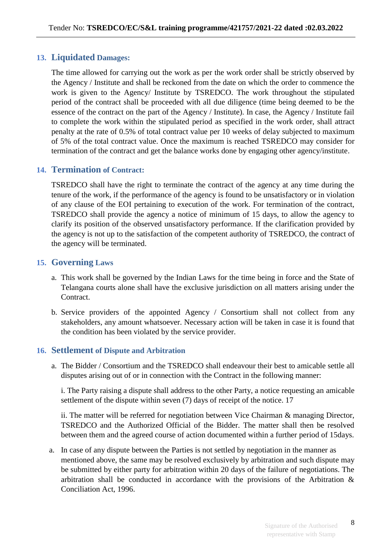## <span id="page-7-0"></span>**13. Liquidated Damages:**

The time allowed for carrying out the work as per the work order shall be strictly observed by the Agency / Institute and shall be reckoned from the date on which the order to commence the work is given to the Agency/ Institute by TSREDCO. The work throughout the stipulated period of the contract shall be proceeded with all due diligence (time being deemed to be the essence of the contract on the part of the Agency / Institute). In case, the Agency / Institute fail to complete the work within the stipulated period as specified in the work order, shall attract penalty at the rate of 0.5% of total contract value per 10 weeks of delay subjected to maximum of 5% of the total contract value. Once the maximum is reached TSREDCO may consider for termination of the contract and get the balance works done by engaging other agency/institute.

## <span id="page-7-1"></span>**14. Termination of Contract:**

TSREDCO shall have the right to terminate the contract of the agency at any time during the tenure of the work, if the performance of the agency is found to be unsatisfactory or in violation of any clause of the EOI pertaining to execution of the work. For termination of the contract, TSREDCO shall provide the agency a notice of minimum of 15 days, to allow the agency to clarify its position of the observed unsatisfactory performance. If the clarification provided by the agency is not up to the satisfaction of the competent authority of TSREDCO, the contract of the agency will be terminated.

### <span id="page-7-2"></span>**15. Governing Laws**

- a. This work shall be governed by the Indian Laws for the time being in force and the State of Telangana courts alone shall have the exclusive jurisdiction on all matters arising under the Contract.
- b. Service providers of the appointed Agency / Consortium shall not collect from any stakeholders, any amount whatsoever. Necessary action will be taken in case it is found that the condition has been violated by the service provider.

#### <span id="page-7-3"></span>**16. Settlement of Dispute and Arbitration**

a. The Bidder / Consortium and the TSREDCO shall endeavour their best to amicable settle all disputes arising out of or in connection with the Contract in the following manner:

i. The Party raising a dispute shall address to the other Party, a notice requesting an amicable settlement of the dispute within seven (7) days of receipt of the notice. 17

ii. The matter will be referred for negotiation between Vice Chairman & managing Director, TSREDCO and the Authorized Official of the Bidder. The matter shall then be resolved between them and the agreed course of action documented within a further period of 15days.

a. In case of any dispute between the Parties is not settled by negotiation in the manner as mentioned above, the same may be resolved exclusively by arbitration and such dispute may be submitted by either party for arbitration within 20 days of the failure of negotiations. The arbitration shall be conducted in accordance with the provisions of the Arbitration & Conciliation Act, 1996.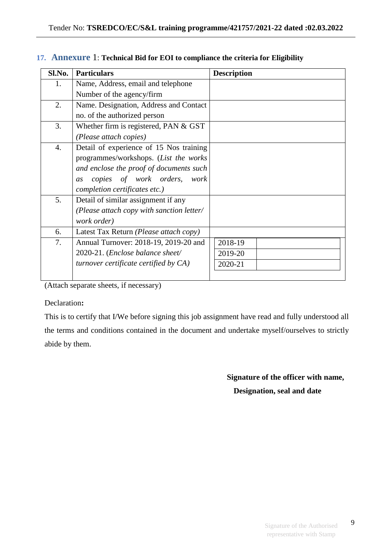| Sl.No. | <b>Particulars</b>                              | <b>Description</b> |
|--------|-------------------------------------------------|--------------------|
| 1.     | Name, Address, email and telephone              |                    |
|        | Number of the agency/firm                       |                    |
| 2.     | Name. Designation, Address and Contact          |                    |
|        | no. of the authorized person                    |                    |
| 3.     | Whether firm is registered, PAN $&$ GST         |                    |
|        | (Please attach copies)                          |                    |
| 4.     | Detail of experience of 15 Nos training         |                    |
|        | programmes/workshops. (List the works           |                    |
|        | and enclose the proof of documents such         |                    |
|        | copies of work orders, work<br>as               |                    |
|        | completion certificates etc.)                   |                    |
| 5.     | Detail of similar assignment if any             |                    |
|        | (Please attach copy with sanction letter/       |                    |
|        | work order)                                     |                    |
| 6.     | Latest Tax Return ( <i>Please attach copy</i> ) |                    |
| 7.     | Annual Turnover: 2018-19, 2019-20 and           | 2018-19            |
|        | 2020-21. (Enclose balance sheet/                | 2019-20            |
|        | turnover certificate certified by $CA$ )        | 2020-21            |
|        |                                                 |                    |

### <span id="page-8-0"></span>**17. Annexure** 1: **Technical Bid for EOI to compliance the criteria for Eligibility**

(Attach separate sheets, if necessary)

### Declaration**:**

This is to certify that I/We before signing this job assignment have read and fully understood all the terms and conditions contained in the document and undertake myself/ourselves to strictly abide by them.

> **Signature of the officer with name, Designation, seal and date**

9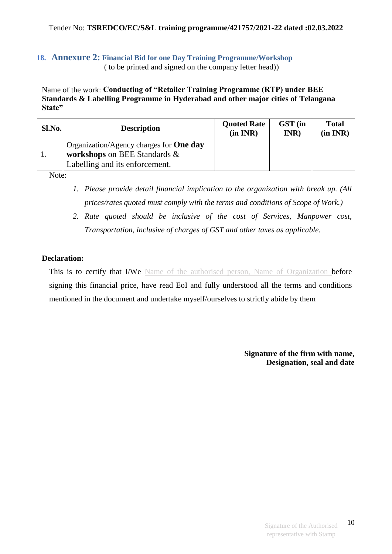#### <span id="page-9-0"></span>**18. Annexure 2: Financial Bid for one Day Training Programme/Workshop** ( to be printed and signed on the company letter head))

Name of the work: **Conducting of "Retailer Training Programme (RTP) under BEE Standards & Labelling Programme in Hyderabad and other major cities of Telangana State"** 

| Sl.No. | <b>Description</b>                                                                                               | <b>Quoted Rate</b><br>(in INR) | GST (in<br>INR) | <b>Total</b><br>(in INR) |
|--------|------------------------------------------------------------------------------------------------------------------|--------------------------------|-----------------|--------------------------|
|        | Organization/Agency charges for <b>One day</b><br>workshops on BEE Standards &<br>Labelling and its enforcement. |                                |                 |                          |

Note:

- *1. Please provide detail financial implication to the organization with break up. (All prices/rates quoted must comply with the terms and conditions of Scope of Work.)*
- *2. Rate quoted should be inclusive of the cost of Services, Manpower cost, Transportation, inclusive of charges of GST and other taxes as applicable.*

### **Declaration:**

This is to certify that I/We Name of the authorised person, Name of Organization before signing this financial price, have read EoI and fully understood all the terms and conditions mentioned in the document and undertake myself/ourselves to strictly abide by them

> **Signature of the firm with name, Designation, seal and date**